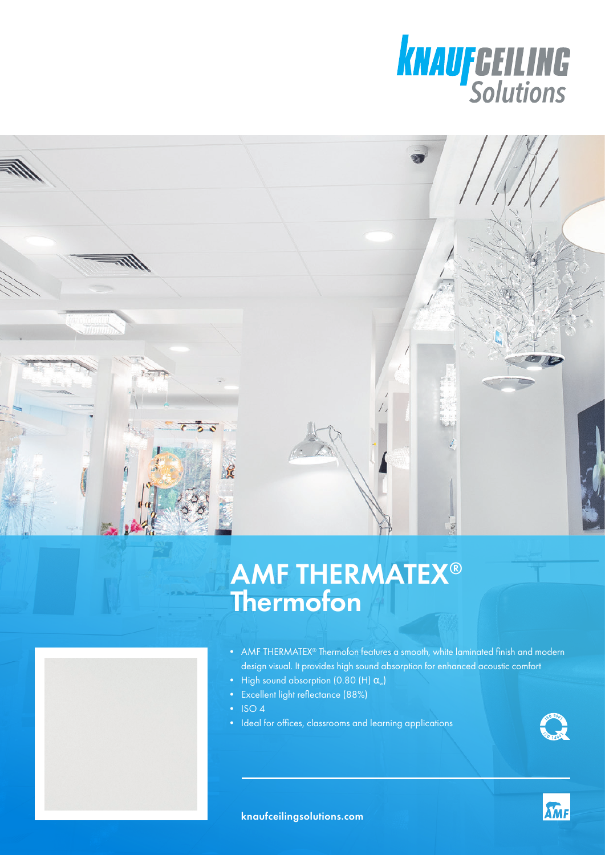



## AMF THERMATEX® Thermofon



- AMF THERMATEX<sup>®</sup> Thermofon features a smooth, white laminated finish and modern design visual. It provides high sound absorption for enhanced acoustic comfort
- High sound absorption (0.80 (H)  $\alpha_{w}$ )
- Excellent light reflectance (88%)
- ISO 4
- Ideal for offices, classrooms and learning applications



**KMF**